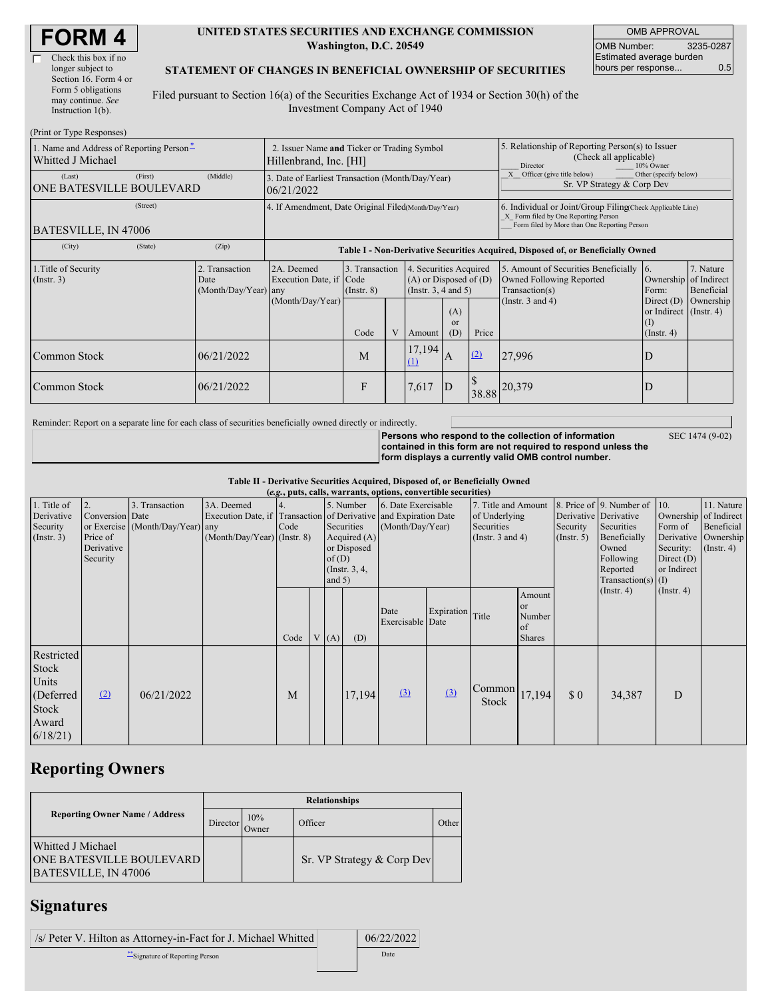| <b>FORM 4</b> |  |
|---------------|--|
|---------------|--|

| Check this box if no  |
|-----------------------|
| longer subject to     |
| Section 16. Form 4 or |
| Form 5 obligations    |
| may continue. See     |
| Instruction $1(b)$ .  |

#### **UNITED STATES SECURITIES AND EXCHANGE COMMISSION Washington, D.C. 20549**

OMB APPROVAL OMB Number: 3235-0287 Estimated average burden hours per response... 0.5

### **STATEMENT OF CHANGES IN BENEFICIAL OWNERSHIP OF SECURITIES**

Filed pursuant to Section 16(a) of the Securities Exchange Act of 1934 or Section 30(h) of the Investment Company Act of 1940

| (Print or Type Responses)                                     |                                                                       |                                                      |                                                                                  |                                    |  |                                                                              |                                                                                                     |                                                                                                                                                    |                                                                                    |                                                                   |                         |
|---------------------------------------------------------------|-----------------------------------------------------------------------|------------------------------------------------------|----------------------------------------------------------------------------------|------------------------------------|--|------------------------------------------------------------------------------|-----------------------------------------------------------------------------------------------------|----------------------------------------------------------------------------------------------------------------------------------------------------|------------------------------------------------------------------------------------|-------------------------------------------------------------------|-------------------------|
| 1. Name and Address of Reporting Person-<br>Whitted J Michael | 2. Issuer Name and Ticker or Trading Symbol<br>Hillenbrand, Inc. [HI] |                                                      |                                                                                  |                                    |  |                                                                              | 5. Relationship of Reporting Person(s) to Issuer<br>(Check all applicable)<br>10% Owner<br>Director |                                                                                                                                                    |                                                                                    |                                                                   |                         |
| (Last)<br>ONE BATESVILLE BOULEVARD                            | (First)                                                               | (Middle)                                             | 3. Date of Earliest Transaction (Month/Day/Year)<br>06/21/2022                   |                                    |  |                                                                              |                                                                                                     | Officer (give title below)<br>Other (specify below)<br>Sr. VP Strategy & Corp Dev                                                                  |                                                                                    |                                                                   |                         |
| (Street)<br>BATESVILLE, IN 47006                              |                                                                       | 4. If Amendment, Date Original Filed(Month/Day/Year) |                                                                                  |                                    |  |                                                                              |                                                                                                     | 6. Individual or Joint/Group Filing Check Applicable Line)<br>X Form filed by One Reporting Person<br>Form filed by More than One Reporting Person |                                                                                    |                                                                   |                         |
| (City)                                                        | (State)                                                               | (Zip)                                                | Table I - Non-Derivative Securities Acquired, Disposed of, or Beneficially Owned |                                    |  |                                                                              |                                                                                                     |                                                                                                                                                    |                                                                                    |                                                                   |                         |
| 1. Title of Security<br>$($ Instr. 3 $)$                      |                                                                       | 2. Transaction<br>Date<br>(Month/Day/Year)           | 2A. Deemed<br>Execution Date, if Code<br>any                                     | 3. Transaction<br>$($ Instr. 8 $)$ |  | 4. Securities Acquired<br>$(A)$ or Disposed of $(D)$<br>(Insert. 3, 4 and 5) |                                                                                                     |                                                                                                                                                    | 5. Amount of Securities Beneficially<br>Owned Following Reported<br>Transaction(s) | 16.<br>Ownership of Indirect<br>Form:                             | 7. Nature<br>Beneficial |
|                                                               |                                                                       |                                                      | (Month/Day/Year)                                                                 | Code                               |  | Amount                                                                       | (A)<br>$\alpha$<br>(D)                                                                              | Price                                                                                                                                              | (Instr. $3$ and $4$ )                                                              | Direct $(D)$<br>or Indirect (Instr. 4)<br>(1)<br>$($ Instr. 4 $)$ | Ownership               |
| Common Stock                                                  |                                                                       | 06/21/2022                                           |                                                                                  | M                                  |  | 17,194<br>$\Omega$                                                           | A                                                                                                   | (2)                                                                                                                                                | 27,996                                                                             | IJ                                                                |                         |
| Common Stock                                                  |                                                                       | 06/21/2022                                           |                                                                                  | F                                  |  | 7,617                                                                        | D                                                                                                   | 38.88                                                                                                                                              | 20,379                                                                             |                                                                   |                         |

Reminder: Report on a separate line for each class of securities beneficially owned directly or indirectly.

SEC 1474 (9-02)

**Persons who respond to the collection of information contained in this form are not required to respond unless the form displays a currently valid OMB control number.**

**Table II - Derivative Securities Acquired, Disposed of, or Beneficially Owned**

| (e.g., puts, calls, warrants, options, convertible securities)          |                                                             |                                                    |                                                                                                                 |      |                                                                                                  |      |        |                                         |            |                                                                             |                                               |                              |                                                                                                                                           |                                                                    |                                                                                            |
|-------------------------------------------------------------------------|-------------------------------------------------------------|----------------------------------------------------|-----------------------------------------------------------------------------------------------------------------|------|--------------------------------------------------------------------------------------------------|------|--------|-----------------------------------------|------------|-----------------------------------------------------------------------------|-----------------------------------------------|------------------------------|-------------------------------------------------------------------------------------------------------------------------------------------|--------------------------------------------------------------------|--------------------------------------------------------------------------------------------|
| 1. Title of<br>Derivative<br>Security<br>(Insert. 3)                    | 2.<br>Conversion Date<br>Price of<br>Derivative<br>Security | 3. Transaction<br>or Exercise (Month/Day/Year) any | 3A. Deemed<br>Execution Date, if Transaction of Derivative and Expiration Date<br>$(Month/Day/Year)$ (Instr. 8) | Code | 5. Number<br>Securities<br>Acquired $(A)$<br>or Disposed<br>of(D)<br>(Instr. $3, 4,$<br>and $5)$ |      |        | 6. Date Exercisable<br>(Month/Day/Year) |            | 7. Title and Amount<br>of Underlying<br>Securities<br>(Instr. $3$ and $4$ ) |                                               | Security<br>$($ Instr. 5 $)$ | 8. Price of 9. Number of<br>Derivative Derivative<br>Securities<br>Beneficially<br>Owned<br>Following<br>Reported<br>Transaction(s) $(I)$ | $\vert$ 10.<br>Form of<br>Security:<br>Direct $(D)$<br>or Indirect | 11. Nature<br>Ownership of Indirect<br>Beneficial<br>Derivative Ownership<br>$($ Instr. 4) |
|                                                                         |                                                             |                                                    |                                                                                                                 | Code |                                                                                                  | V(A) | (D)    | Date<br>Exercisable Date                | Expiration | Title                                                                       | Amount<br>or<br>Number<br>of<br><b>Shares</b> |                              | $($ Instr. 4 $)$                                                                                                                          | $($ Instr. 4 $)$                                                   |                                                                                            |
| Restricted<br>Stock<br>Units<br>(Deferred)<br>Stock<br>Award<br>6/18/21 | (2)                                                         | 06/21/2022                                         |                                                                                                                 | M    |                                                                                                  |      | 17,194 | (3)                                     | $\Omega$   | Common<br><b>Stock</b>                                                      | 17,194                                        | $\Omega$                     | 34,387                                                                                                                                    | D                                                                  |                                                                                            |

# **Reporting Owners**

|                                                                              | <b>Relationships</b> |              |                            |       |  |  |  |  |  |
|------------------------------------------------------------------------------|----------------------|--------------|----------------------------|-------|--|--|--|--|--|
| <b>Reporting Owner Name / Address</b>                                        | Director             | 10%<br>Owner | Officer                    | Other |  |  |  |  |  |
| Whitted J Michael<br><b>ONE BATESVILLE BOULEVARD</b><br>BATESVILLE, IN 47006 |                      |              | Sr. VP Strategy & Corp Dev |       |  |  |  |  |  |

## **Signatures**

 $\frac{s}{P}$  Peter V. Hilton as Attorney-in-Fact for J. Michael Whitted 06/22/2022 \*\*Signature of Reporting Person Date